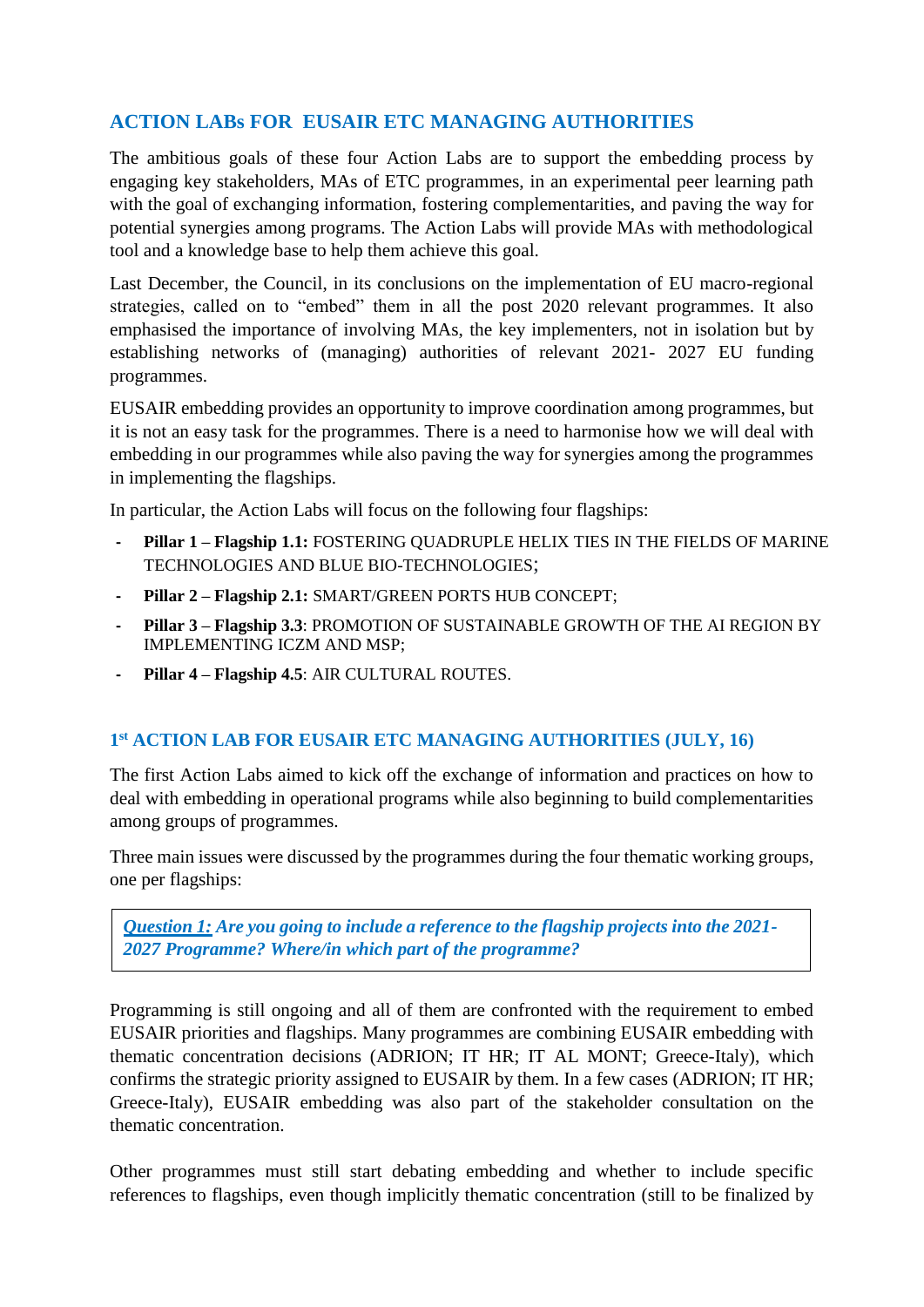## **ACTION LABs FOR EUSAIR ETC MANAGING AUTHORITIES**

The ambitious goals of these four Action Labs are to support the embedding process by engaging key stakeholders, MAs of ETC programmes, in an experimental peer learning path with the goal of exchanging information, fostering complementarities, and paving the way for potential synergies among programs. The Action Labs will provide MAs with methodological tool and a knowledge base to help them achieve this goal.

Last December, the Council, in its conclusions on the implementation of EU macro-regional strategies, called on to "embed" them in all the post 2020 relevant programmes. It also emphasised the importance of involving MAs, the key implementers, not in isolation but by establishing networks of (managing) authorities of relevant 2021- 2027 EU funding programmes.

EUSAIR embedding provides an opportunity to improve coordination among programmes, but it is not an easy task for the programmes. There is a need to harmonise how we will deal with embedding in our programmes while also paving the way for synergies among the programmes in implementing the flagships.

In particular, the Action Labs will focus on the following four flagships:

- **- Pillar 1 – Flagship 1.1:** FOSTERING QUADRUPLE HELIX TIES IN THE FIELDS OF MARINE TECHNOLOGIES AND BLUE BIO-TECHNOLOGIES;
- **- Pillar 2 – Flagship 2.1:** SMART/GREEN PORTS HUB CONCEPT;
- **- Pillar 3 – Flagship 3.3**: PROMOTION OF SUSTAINABLE GROWTH OF THE AI REGION BY IMPLEMENTING ICZM AND MSP;
- **- Pillar 4 – Flagship 4.5**: AIR CULTURAL ROUTES.

## **1 st ACTION LAB FOR EUSAIR ETC MANAGING AUTHORITIES (JULY, 16)**

The first Action Labs aimed to kick off the exchange of information and practices on how to deal with embedding in operational programs while also beginning to build complementarities among groups of programmes.

Three main issues were discussed by the programmes during the four thematic working groups, one per flagships:

*Question 1: Are you going to include a reference to the flagship projects into the 2021- 2027 Programme? Where/in which part of the programme?* 

Programming is still ongoing and all of them are confronted with the requirement to embed EUSAIR priorities and flagships. Many programmes are combining EUSAIR embedding with thematic concentration decisions (ADRION; IT HR; IT AL MONT; Greece-Italy), which confirms the strategic priority assigned to EUSAIR by them. In a few cases (ADRION; IT HR; Greece-Italy), EUSAIR embedding was also part of the stakeholder consultation on the thematic concentration.

Other programmes must still start debating embedding and whether to include specific references to flagships, even though implicitly thematic concentration (still to be finalized by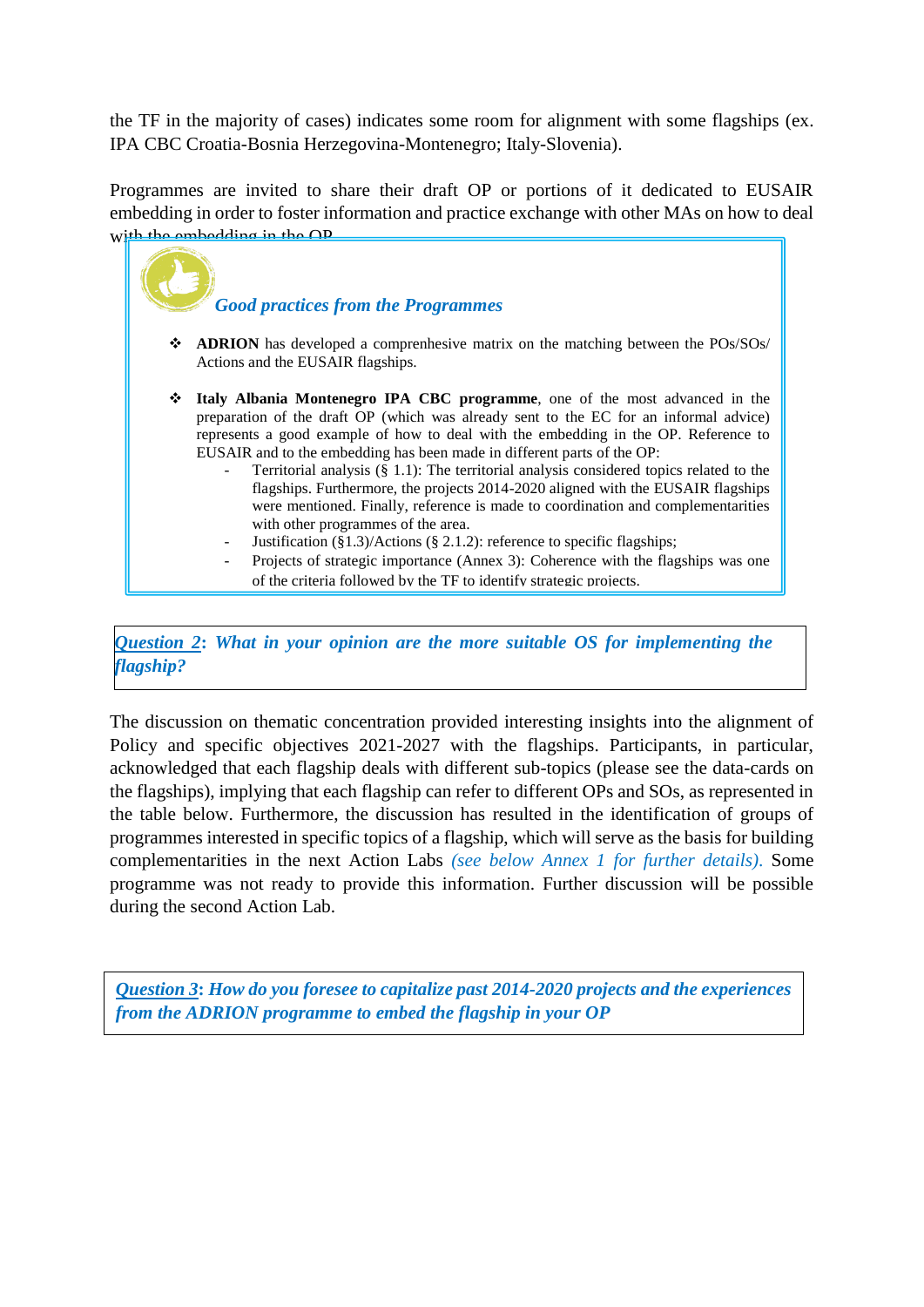the TF in the majority of cases) indicates some room for alignment with some flagships (ex. IPA CBC Croatia-Bosnia Herzegovina-Montenegro; Italy-Slovenia).

Programmes are invited to share their draft OP or portions of it dedicated to EUSAIR embedding in order to foster information and practice exchange with other MAs on how to deal with the embedding in the OP.



*Question 2***:** *What in your opinion are the more suitable OS for implementing the flagship?*

The discussion on thematic concentration provided interesting insights into the alignment of Policy and specific objectives 2021-2027 with the flagships. Participants, in particular, acknowledged that each flagship deals with different sub-topics (please see the data-cards on the flagships), implying that each flagship can refer to different OPs and SOs, as represented in the table below. Furthermore, the discussion has resulted in the identification of groups of programmes interested in specific topics of a flagship, which will serve as the basis for building complementarities in the next Action Labs *(see below Annex 1 for further details)*. Some programme was not ready to provide this information. Further discussion will be possible during the second Action Lab.

*. Question 3***:** *How do you foresee to capitalize past 2014-2020 projects and the experiences from the ADRION programme to embed the flagship in your OP*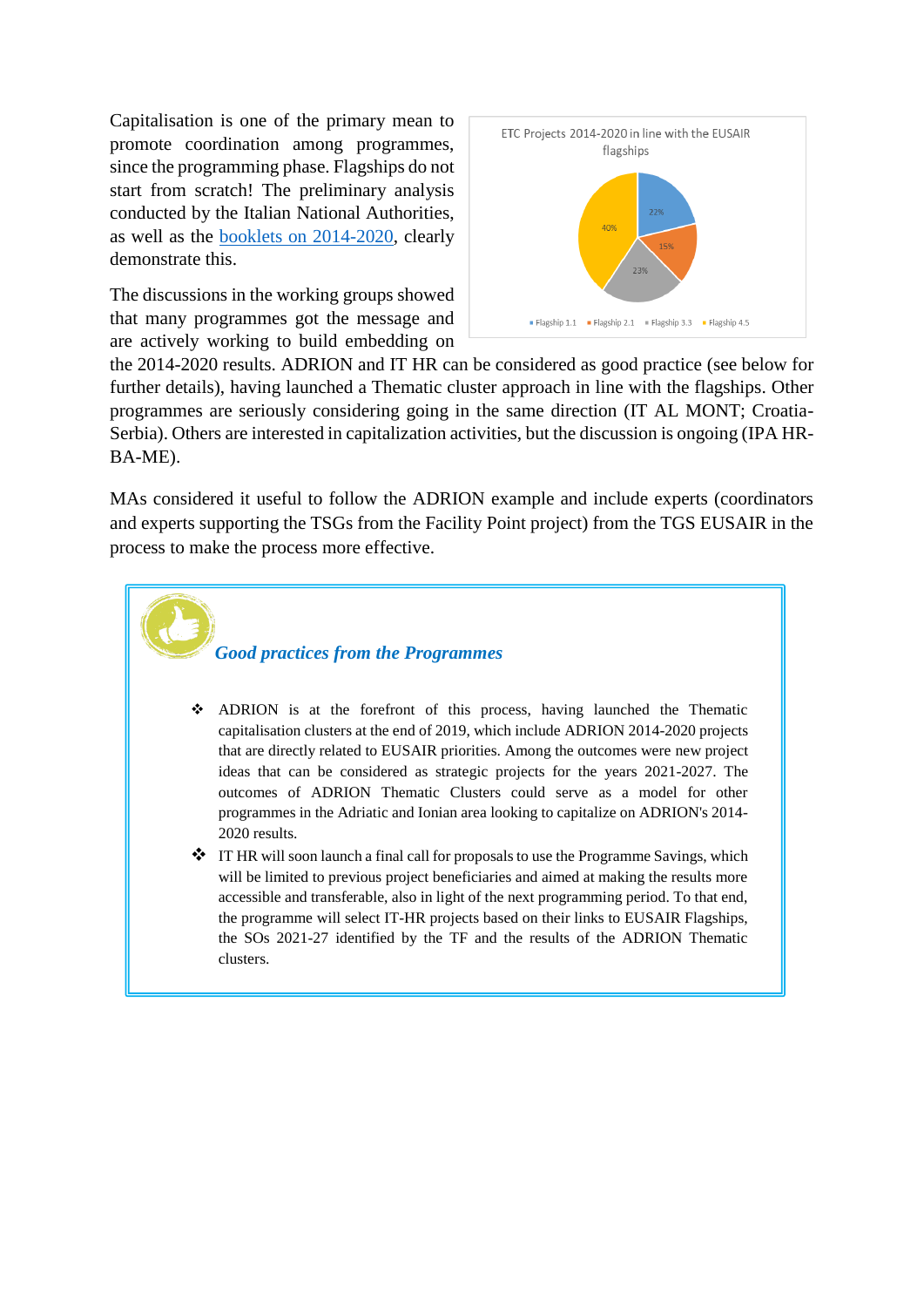Capitalisation is one of the primary mean to promote coordination among programmes, since the programming phase. Flagships do not start from scratch! The preliminary analysis conducted by the Italian National Authorities, as well as the booklets [on 2014-2020,](mailto:https://etc-eusair-network.eu/data) clearly demonstrate this.

The discussions in the working groups showed that many programmes got the message and are actively working to build embedding on



the 2014-2020 results. ADRION and IT HR can be considered as good practice (see below for further details), having launched a Thematic cluster approach in line with the flagships. Other programmes are seriously considering going in the same direction (IT AL MONT; Croatia-Serbia). Others are interested in capitalization activities, but the discussion is ongoing (IPA HR-BA-ME).

MAs considered it useful to follow the ADRION example and include experts (coordinators and experts supporting the TSGs from the Facility Point project) from the TGS EUSAIR in the process to make the process more effective.



- ADRION is at the forefront of this process, having launched the Thematic capitalisation clusters at the end of 2019, which include ADRION 2014-2020 projects that are directly related to EUSAIR priorities. Among the outcomes were new project ideas that can be considered as strategic projects for the years 2021-2027. The outcomes of ADRION Thematic Clusters could serve as a model for other programmes in the Adriatic and Ionian area looking to capitalize on ADRION's 2014- 2020 results.
- **\*** IT HR will soon launch a final call for proposals to use the Programme Savings, which will be limited to previous project beneficiaries and aimed at making the results more accessible and transferable, also in light of the next programming period. To that end, the programme will select IT-HR projects based on their links to EUSAIR Flagships, the SOs 2021-27 identified by the TF and the results of the ADRION Thematic clusters.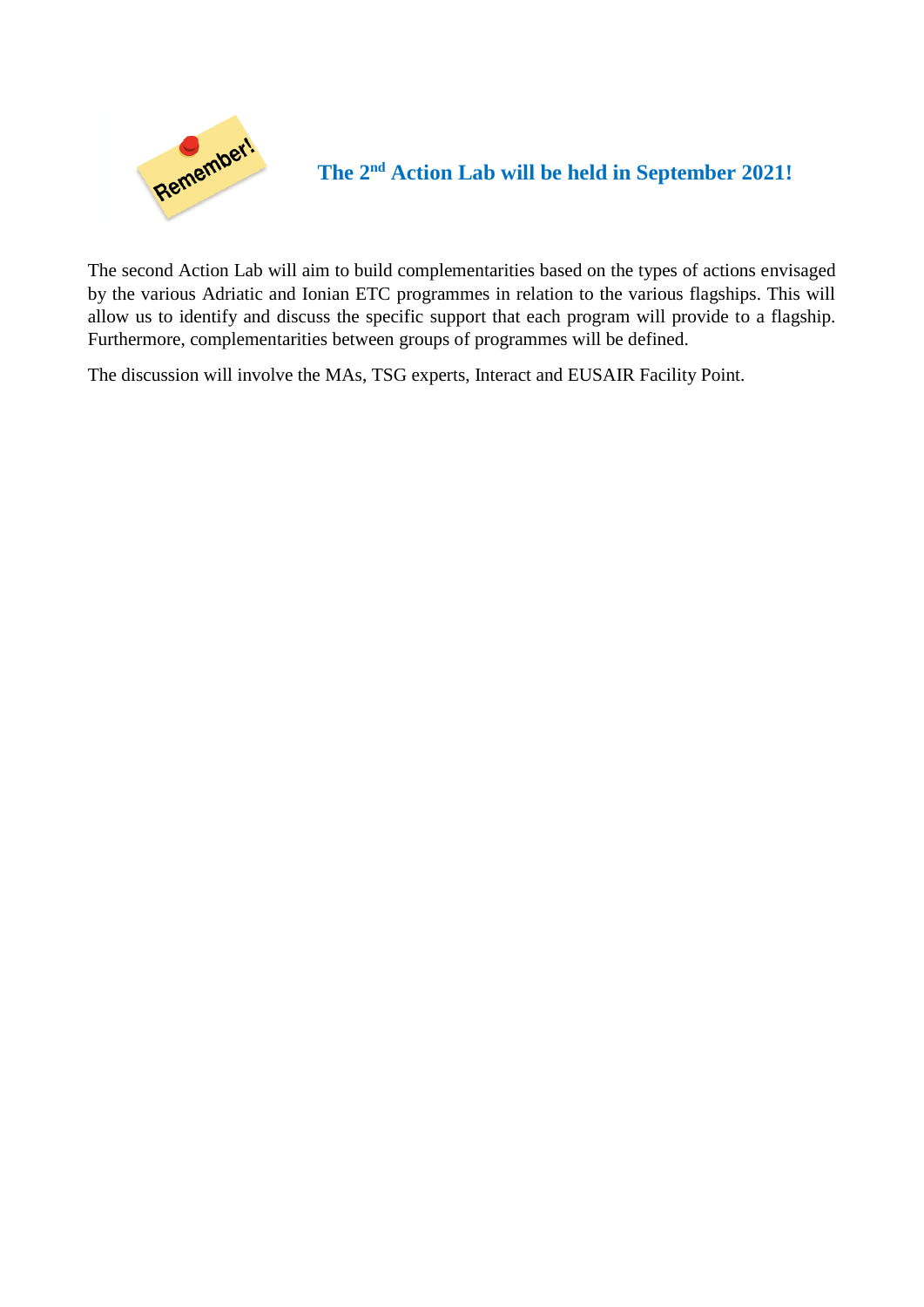

**The 2nd Action Lab will be held in September 2021!**

The second Action Lab will aim to build complementarities based on the types of actions envisaged by the various Adriatic and Ionian ETC programmes in relation to the various flagships. This will allow us to identify and discuss the specific support that each program will provide to a flagship. Furthermore, complementarities between groups of programmes will be defined.

The discussion will involve the MAs, TSG experts, Interact and EUSAIR Facility Point.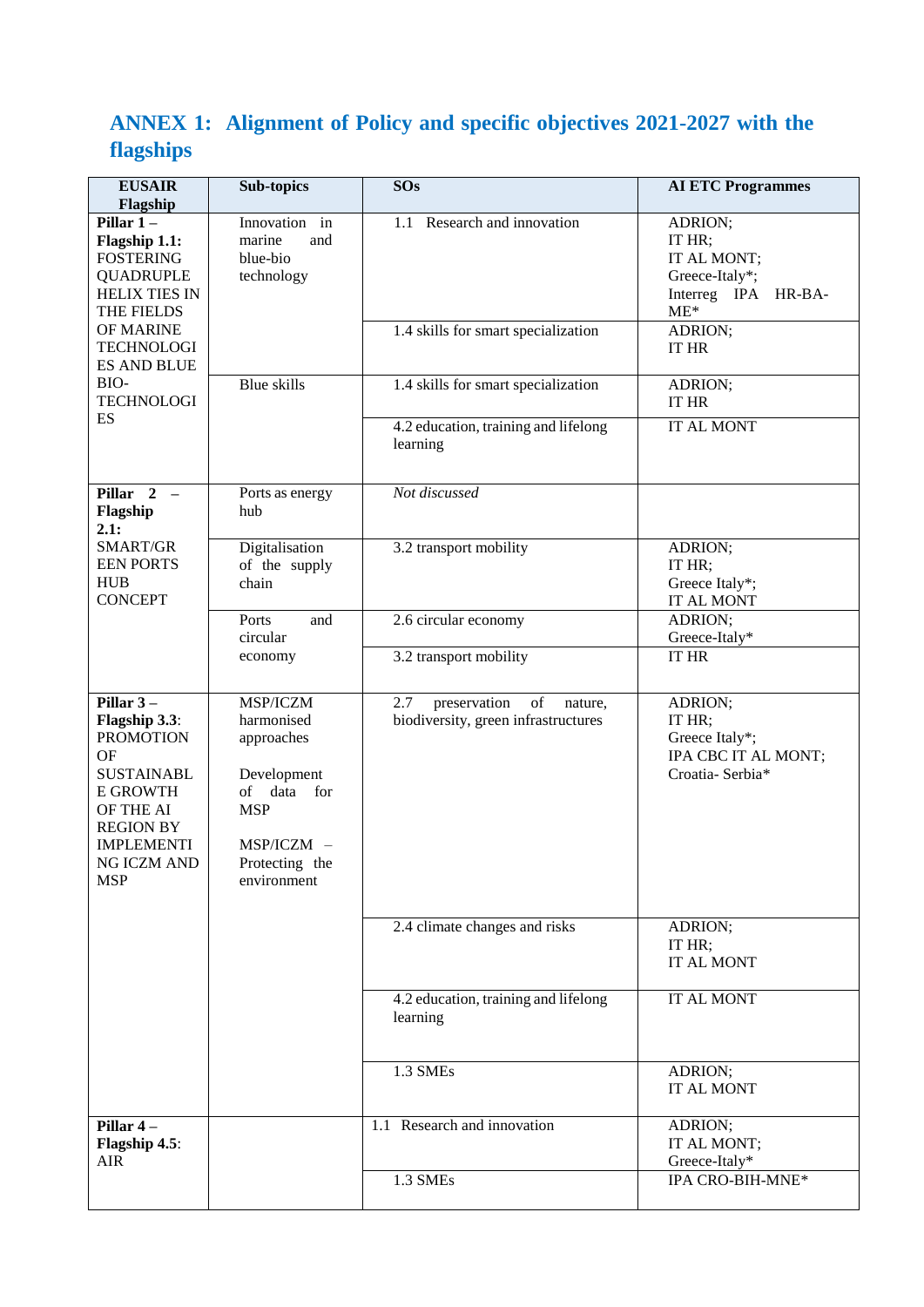## **ANNEX 1: Alignment of Policy and specific objectives 2021-2027 with the flagships**

| <b>EUSAIR</b><br>Flagship                                                                                                                                                                             | <b>Sub-topics</b>                                                                                                                  | <b>SOs</b>                                                                  | <b>AI ETC Programmes</b>                                                              |
|-------------------------------------------------------------------------------------------------------------------------------------------------------------------------------------------------------|------------------------------------------------------------------------------------------------------------------------------------|-----------------------------------------------------------------------------|---------------------------------------------------------------------------------------|
| Pillar $1-$<br>Flagship 1.1:<br><b>FOSTERING</b><br><b>QUADRUPLE</b><br><b>HELIX TIES IN</b><br>THE FIELDS<br>OF MARINE<br><b>TECHNOLOGI</b><br><b>ES AND BLUE</b><br>BIO-<br><b>TECHNOLOGI</b><br>ES | Innovation in<br>marine<br>and<br>blue-bio<br>technology                                                                           | 1.1 Research and innovation                                                 | ADRION;<br>IT HR;<br>IT AL MONT;<br>Greece-Italy*;<br>Interreg IPA<br>HR-BA-<br>$ME*$ |
|                                                                                                                                                                                                       |                                                                                                                                    | 1.4 skills for smart specialization                                         | ADRION;<br><b>IT HR</b>                                                               |
|                                                                                                                                                                                                       | <b>Blue</b> skills                                                                                                                 | 1.4 skills for smart specialization                                         | ADRION;<br>IT HR                                                                      |
|                                                                                                                                                                                                       |                                                                                                                                    | 4.2 education, training and lifelong<br>learning                            | IT AL MONT                                                                            |
| Pillar $2 -$<br>Flagship<br>2.1:                                                                                                                                                                      | Ports as energy<br>hub                                                                                                             | Not discussed                                                               |                                                                                       |
| SMART/GR<br><b>EEN PORTS</b><br><b>HUB</b><br><b>CONCEPT</b>                                                                                                                                          | Digitalisation<br>of the supply<br>chain                                                                                           | 3.2 transport mobility                                                      | ADRION;<br>IT HR:<br>Greece Italy*;<br><b>IT AL MONT</b>                              |
|                                                                                                                                                                                                       | Ports<br>and<br>circular                                                                                                           | 2.6 circular economy                                                        | ADRION;<br>Greece-Italy*                                                              |
|                                                                                                                                                                                                       | economy                                                                                                                            | 3.2 transport mobility                                                      | <b>IT HR</b>                                                                          |
| Pillar $3-$<br>Flagship 3.3:<br><b>PROMOTION</b><br><b>OF</b><br><b>SUSTAINABL</b><br><b>E GROWTH</b><br>OF THE AI<br><b>REGION BY</b><br><b>IMPLEMENTI</b><br>NG ICZM AND<br><b>MSP</b>              | MSP/ICZM<br>harmonised<br>approaches<br>Development<br>of data<br>for<br><b>MSP</b><br>MSP/ICZM -<br>Protecting the<br>environment | of<br>2.7<br>preservation<br>nature,<br>biodiversity, green infrastructures | ADRION;<br>IT HR;<br>Greece Italy*;<br>IPA CBC IT AL MONT;<br>Croatia-Serbia*         |
|                                                                                                                                                                                                       |                                                                                                                                    | 2.4 climate changes and risks                                               | ADRION;<br>IT HR;<br>IT AL MONT                                                       |
|                                                                                                                                                                                                       |                                                                                                                                    | 4.2 education, training and lifelong<br>learning                            | IT AL MONT                                                                            |
|                                                                                                                                                                                                       |                                                                                                                                    | 1.3 SMEs                                                                    | ADRION;<br>IT AL MONT                                                                 |
| Pillar 4-<br>Flagship 4.5:<br><b>AIR</b>                                                                                                                                                              |                                                                                                                                    | 1.1 Research and innovation                                                 | ADRION;<br>IT AL MONT;<br>Greece-Italy*                                               |
|                                                                                                                                                                                                       |                                                                                                                                    | 1.3 SMEs                                                                    | IPA CRO-BIH-MNE*                                                                      |